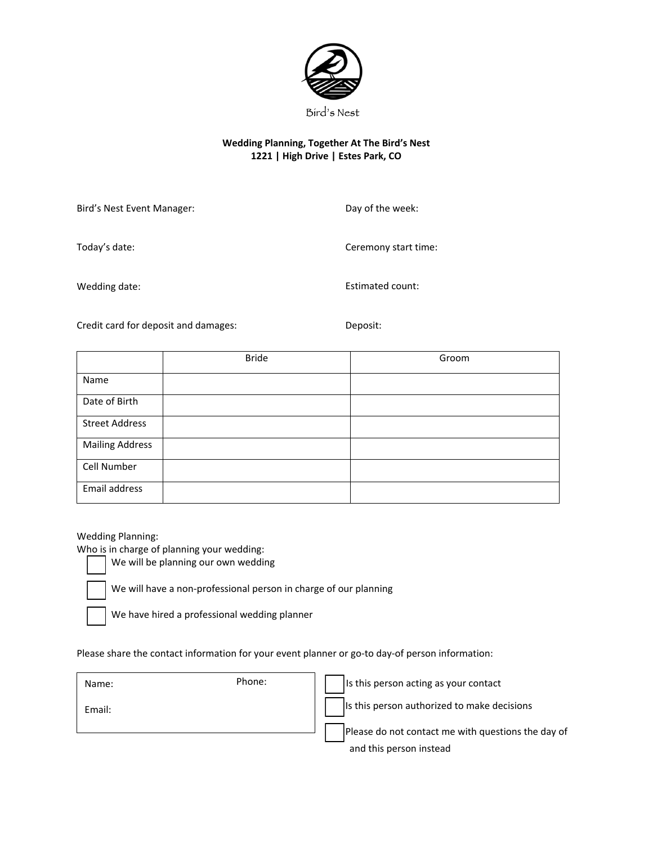

# **Wedding Planning, Together At The Bird's Nest 1221 | High Drive | Estes Park, CO**

Bird's Nest Event Manager:

Day of the week:

Today's date:

Wedding date:

Estimated count:

Ceremony start time:

Credit card for deposit and damages: Deposit:

|                        | <b>Bride</b> | Groom |
|------------------------|--------------|-------|
| Name                   |              |       |
| Date of Birth          |              |       |
| <b>Street Address</b>  |              |       |
| <b>Mailing Address</b> |              |       |
| Cell Number            |              |       |
| Email address          |              |       |

Wedding Planning:

Who is in charge of planning your wedding:

We will be planning our own wedding

We will have a non-professional person in charge of our planning

We have hired a professional wedding planner

Please share the contact information for your event planner or go-to day-of person information:

 Is this person authorized to make decisions Please do not contact me with questions the day of and this person instead Name: Name: Phone: Phone: Phone: It is this person acting as your contact Email: Phone: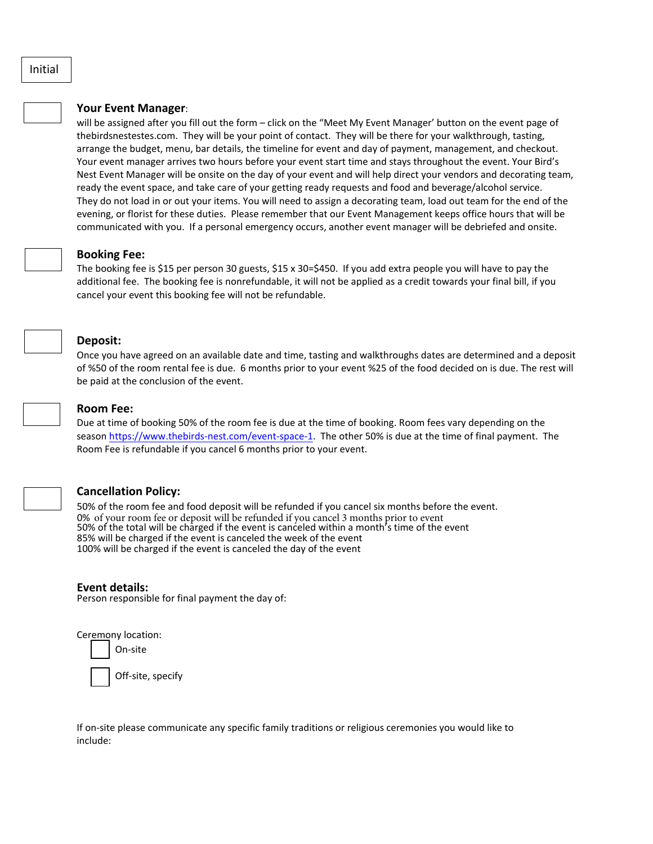# **Your Event Manager**:

will be assigned after you fill out the form – click on the "Meet My Event Manager' button on the event page of thebirdsnestestes.com. They will be your point of contact. They will be there for your walkthrough, tasting, arrange the budget, menu, bar details, the timeline for event and day of payment, management, and checkout. Your event manager arrives two hours before your event start time and stays throughout the event. Your Bird's Nest Event Manager will be onsite on the day of your event and will help direct your vendors and decorating team, ready the event space, and take care of your getting ready requests and food and beverage/alcohol service. They do not load in or out your items. You will need to assign a decorating team, load out team for the end of the evening, or florist for these duties. Please remember that our Event Management keeps office hours that will be communicated with you. If a personal emergency occurs, another event manager will be debriefed and onsite.

#### **Booking Fee:**

The booking fee is \$15 per person 30 guests, \$15 x 30=\$450. If you add extra people you will have to pay the additional fee. The booking fee is nonrefundable, it will not be applied as a credit towards your final bill, if you cancel your event this booking fee will not be refundable.

### **Deposit:**

Once you have agreed on an available date and time, tasting and walkthroughs dates are determined and a deposit of %50 of the room rental fee is due. 6 months prior to your event %25 of the food decided on is due. The rest will be paid at the conclusion of the event.



#### **Room Fee:**

Due at time of booking 50% of the room fee is due at the time of booking. Room fees vary depending on the season [https://www.thebirds-nest.com/event-space-1.](https://www.thebirds-nest.com/event-space-1) The other 50% is due at the time of final payment. The Room Fee is refundable if you cancel 6 months prior to your event.

#### **Cancellation Policy:**

50% of the room fee and food deposit will be refunded if you cancel six months before the event. 0% of your room fee or deposit will be refunded if you cancel 3 months prior to event 50% of the total will be charged if the event is canceled within a month's time of the event 85% will be charged if the event is canceled the week of the event 100% will be charged if the event is canceled the day of the event

#### **Event details:**

Person responsible for final payment the day of:

Ceremony location:

On-site

Off-site, specify

If on-site please communicate any specific family traditions or religious ceremonies you would like to include: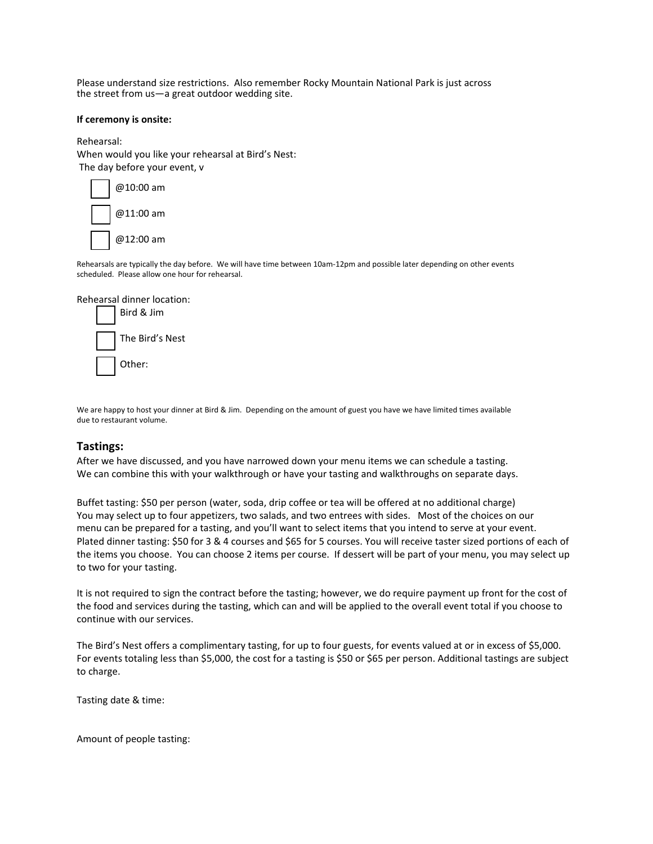Please understand size restrictions. Also remember Rocky Mountain National Park is just across the street from us—a great outdoor wedding site.

#### **If ceremony is onsite:**

Rehearsal: When would you like your rehearsal at Bird's Nest: The day before your event, v



Rehearsals are typically the day before. We will have time between 10am-12pm and possible later depending on other events scheduled. Please allow one hour for rehearsal.



We are happy to host your dinner at Bird & Jim. Depending on the amount of guest you have we have limited times available due to restaurant volume.

# **Tastings:**

After we have discussed, and you have narrowed down your menu items we can schedule a tasting. We can combine this with your walkthrough or have your tasting and walkthroughs on separate days.

Buffet tasting: \$50 per person (water, soda, drip coffee or tea will be offered at no additional charge) You may select up to four appetizers, two salads, and two entrees with sides. Most of the choices on our menu can be prepared for a tasting, and you'll want to select items that you intend to serve at your event. Plated dinner tasting: \$50 for 3 & 4 courses and \$65 for 5 courses. You will receive taster sized portions of each of the items you choose. You can choose 2 items per course. If dessert will be part of your menu, you may select up to two for your tasting.

It is not required to sign the contract before the tasting; however, we do require payment up front for the cost of the food and services during the tasting, which can and will be applied to the overall event total if you choose to continue with our services.

The Bird's Nest offers a complimentary tasting, for up to four guests, for events valued at or in excess of \$5,000. For events totaling less than \$5,000, the cost for a tasting is \$50 or \$65 per person. Additional tastings are subject to charge.

Tasting date & time:

Amount of people tasting: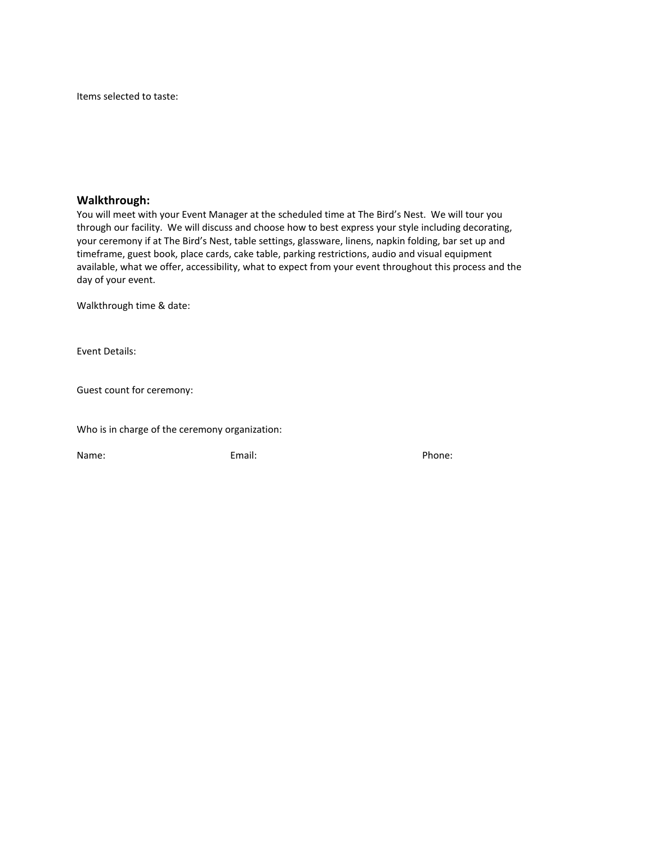Items selected to taste:

# **Walkthrough:**

You will meet with your Event Manager at the scheduled time at The Bird's Nest. We will tour you through our facility. We will discuss and choose how to best express your style including decorating, your ceremony if at The Bird's Nest, table settings, glassware, linens, napkin folding, bar set up and timeframe, guest book, place cards, cake table, parking restrictions, audio and visual equipment available, what we offer, accessibility, what to expect from your event throughout this process and the day of your event.

Walkthrough time & date:

Event Details:

Guest count for ceremony:

Who is in charge of the ceremony organization:

Name: Email: Email: Phone: Phone: Phone: Phone: Phone: Phone: Phone: Phone: Phone: Phone: Phone: Phone: Phone: Phone: Phone: Phone: Phone: Phone: Phone: Phone: Phone: Phone: Phone: Phone: Phone: Phone: Phone: Phone: Phone: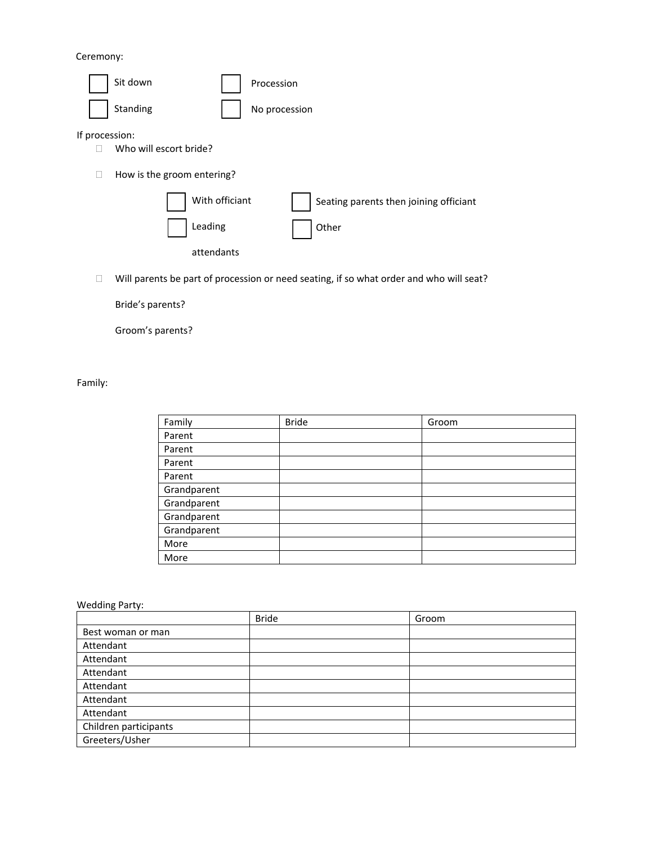Ceremony:



 $\Box$  Will parents be part of procession or need seating, if so what order and who will seat?

Bride's parents?

Groom's parents?

Family:

| Family      | <b>Bride</b> | Groom |
|-------------|--------------|-------|
| Parent      |              |       |
| Parent      |              |       |
| Parent      |              |       |
| Parent      |              |       |
| Grandparent |              |       |
| Grandparent |              |       |
| Grandparent |              |       |
| Grandparent |              |       |
| More        |              |       |
| More        |              |       |

Wedding Party:

|                       | <b>Bride</b> | Groom |
|-----------------------|--------------|-------|
| Best woman or man     |              |       |
| Attendant             |              |       |
| Attendant             |              |       |
| Attendant             |              |       |
| Attendant             |              |       |
| Attendant             |              |       |
| Attendant             |              |       |
| Children participants |              |       |
| Greeters/Usher        |              |       |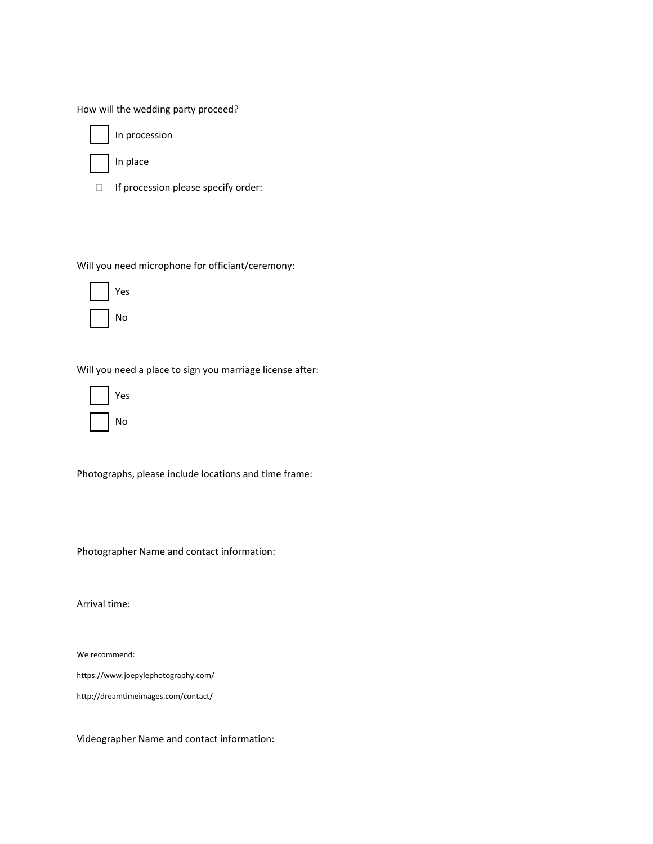How will the wedding party proceed?

In procession

In place

 $\Box$  If procession please specify order:

Will you need microphone for officiant/ceremony:



Will you need a place to sign you marriage license after:



Photographs, please include locations and time frame:

Photographer Name and contact information:

Arrival time:

We recommend:

<https://www.joepylephotography.com/>

<http://dreamtimeimages.com/contact/>

Videographer Name and contact information: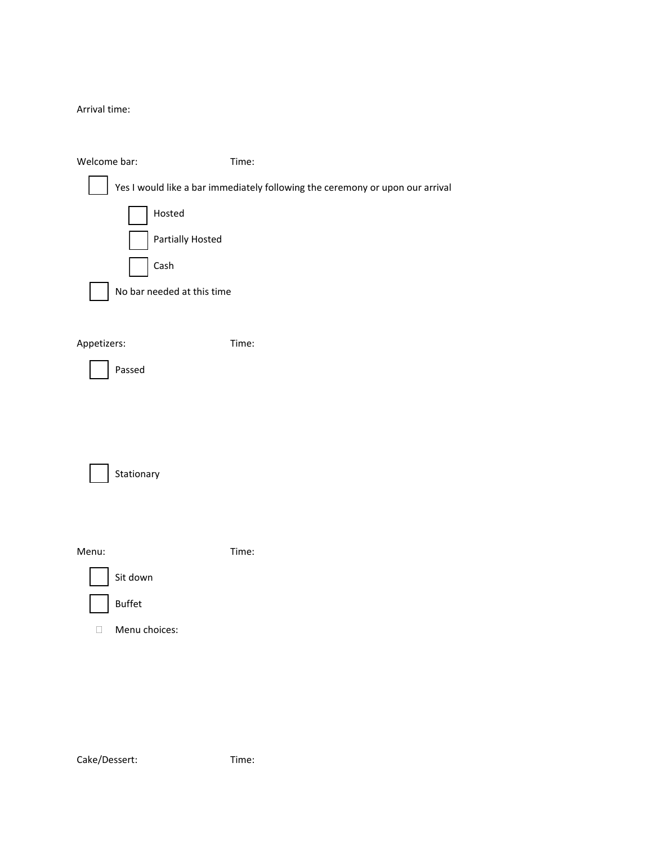Arrival time:

| Welcome bar:               | Time:                                                                         |
|----------------------------|-------------------------------------------------------------------------------|
|                            | Yes I would like a bar immediately following the ceremony or upon our arrival |
| Hosted                     |                                                                               |
| Partially Hosted           |                                                                               |
| Cash                       |                                                                               |
| No bar needed at this time |                                                                               |
|                            |                                                                               |
| Appetizers:                | Time:                                                                         |
| Passed                     |                                                                               |
|                            |                                                                               |
|                            |                                                                               |
|                            |                                                                               |
| Stationary                 |                                                                               |
|                            |                                                                               |
|                            |                                                                               |
| Menu:                      | Time:                                                                         |
| Sit down                   |                                                                               |
| <b>Buffet</b>              |                                                                               |
| Menu choices:<br>□         |                                                                               |
|                            |                                                                               |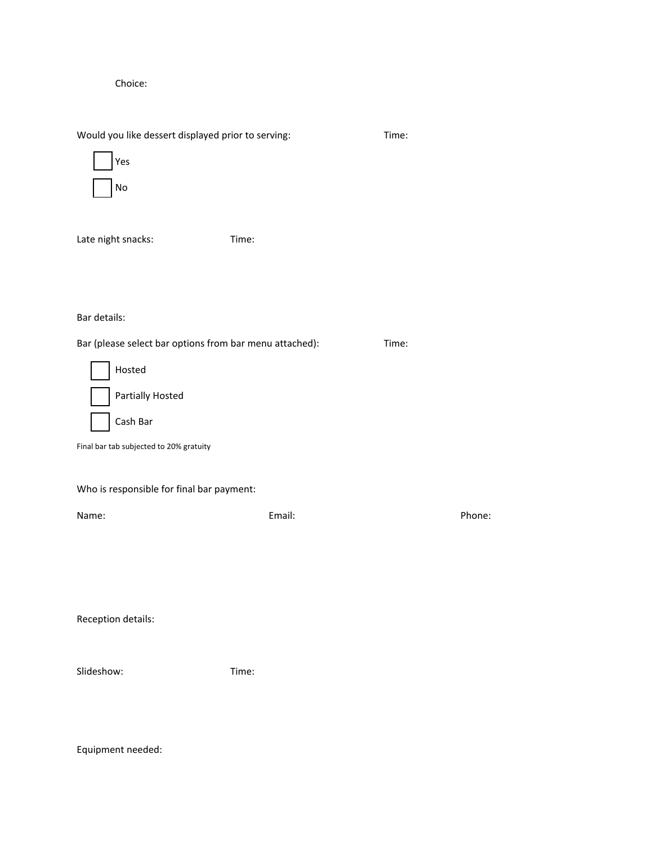Choice:

Would you like dessert displayed prior to serving: Time:



Late night snacks: Time:

# Bar details:

 $\overline{a}$ 

Bar (please select bar options from bar menu attached): Time:

|  | Hosted                  |
|--|-------------------------|
|  | <b>Partially Hosted</b> |
|  | Cash Bar                |

Final bar tab subjected to 20% gratuity

Who is responsible for final bar payment:

| Name: | Email: | Phone: |
|-------|--------|--------|
|       |        |        |
|       |        |        |
|       |        |        |
|       |        |        |
|       |        |        |

Reception details:

| Slideshow: | Time: |
|------------|-------|
|            |       |

Equipment needed: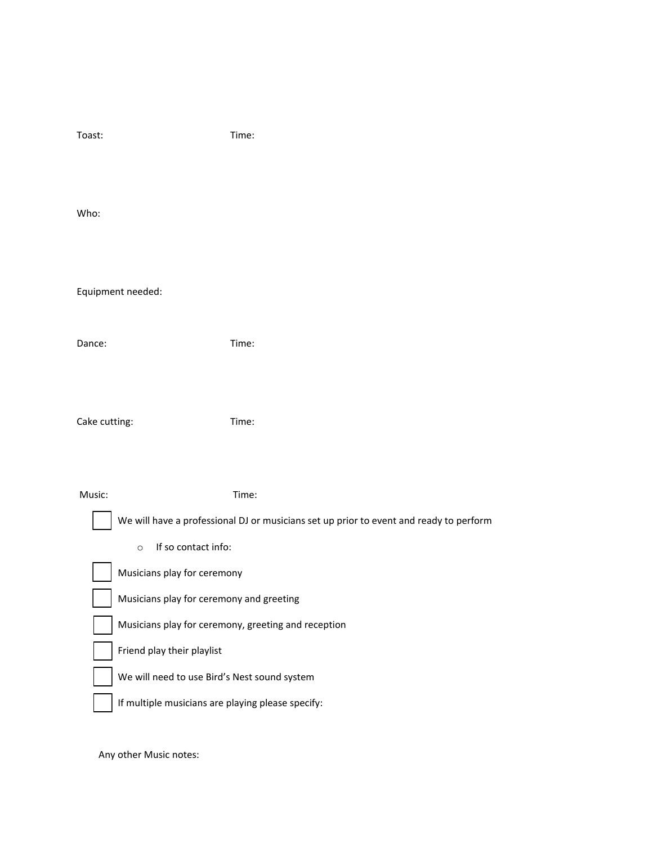| Toast:                                                                                                                                                       | Time:                                                                                           |  |
|--------------------------------------------------------------------------------------------------------------------------------------------------------------|-------------------------------------------------------------------------------------------------|--|
| Who:                                                                                                                                                         |                                                                                                 |  |
| Equipment needed:                                                                                                                                            |                                                                                                 |  |
| Dance:                                                                                                                                                       | Time:                                                                                           |  |
| Cake cutting:                                                                                                                                                | Time:                                                                                           |  |
| Music:<br>If so contact info:<br>$\circ$                                                                                                                     | Time:<br>We will have a professional DJ or musicians set up prior to event and ready to perform |  |
| Musicians play for ceremony<br>Musicians play for ceremony and greeting<br>Musicians play for ceremony, greeting and reception<br>Friend play their playlist |                                                                                                 |  |
| We will need to use Bird's Nest sound system<br>If multiple musicians are playing please specify:                                                            |                                                                                                 |  |

Any other Music notes: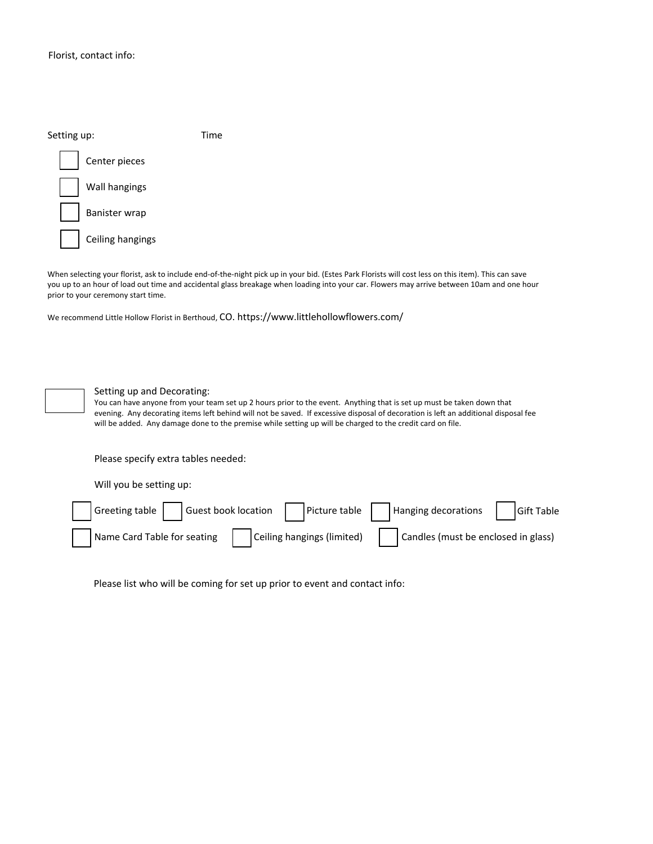| Setting up:      | Time |
|------------------|------|
| Center pieces    |      |
| Wall hangings    |      |
| Banister wrap    |      |
| Ceiling hangings |      |

When selecting your florist, ask to include end-of-the-night pick up in your bid. (Estes Park Florists will cost less on this item). This can save you up to an hour of load out time and accidental glass breakage when loading into your car. Flowers may arrive between 10am and one hour prior to your ceremony start time.

We recommend Little Hollow Florist in Berthoud, CO. https://www.littlehollowflowers.com/



Setting up and Decorating:

You can have anyone from your team set up 2 hours prior to the event. Anything that is set up must be taken down that evening. Any decorating items left behind will not be saved. If excessive disposal of decoration is left an additional disposal fee will be added. Any damage done to the premise while setting up will be charged to the credit card on file.

Please specify extra tables needed:

Will you be setting up:



Please list who will be coming for set up prior to event and contact info: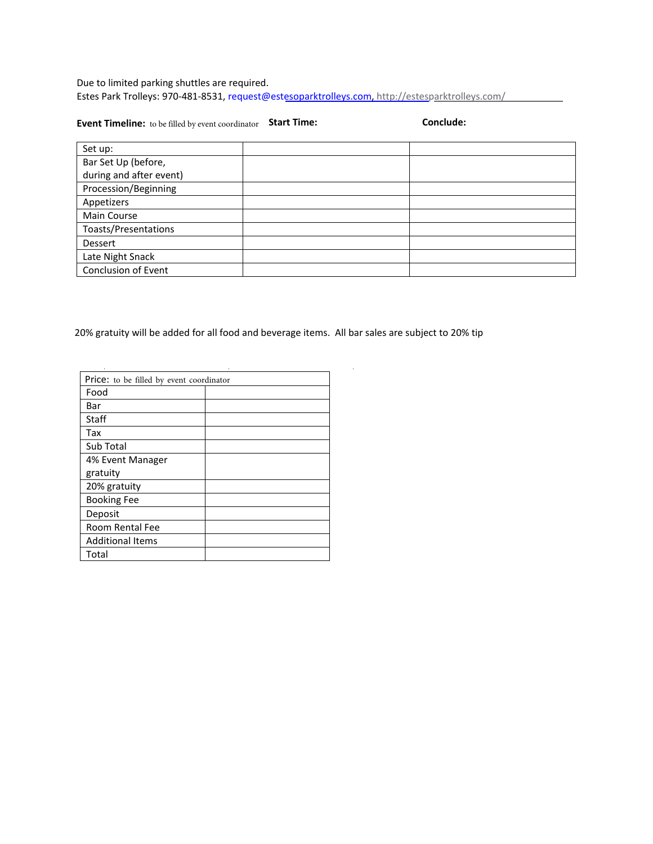Due to limited parking shuttles are required. Estes Park Trolleys: 970-481-8531, [request@estesoparktrolleys.com,](mailto:request@estesoparktrolleys.com) http://estesparktrolleys.com/

**Event Timeline: to be filled by event coordinator Start Time: Conclude: Conclude:** 

| Set up:                 |  |
|-------------------------|--|
| Bar Set Up (before,     |  |
| during and after event) |  |
| Procession/Beginning    |  |
| Appetizers              |  |
| Main Course             |  |
| Toasts/Presentations    |  |
| Dessert                 |  |
| Late Night Snack        |  |
| Conclusion of Event     |  |

20% gratuity will be added for all food and beverage items. All bar sales are subject to 20% tip

| Price: to be filled by event coordinator |  |
|------------------------------------------|--|
| Food                                     |  |
| Bar                                      |  |
| Staff                                    |  |
| Tax                                      |  |
| Sub Total                                |  |
| 4% Event Manager                         |  |
| gratuity                                 |  |
| 20% gratuity                             |  |
| <b>Booking Fee</b>                       |  |
| Deposit                                  |  |
| Room Rental Fee                          |  |
| <b>Additional Items</b>                  |  |
| Total                                    |  |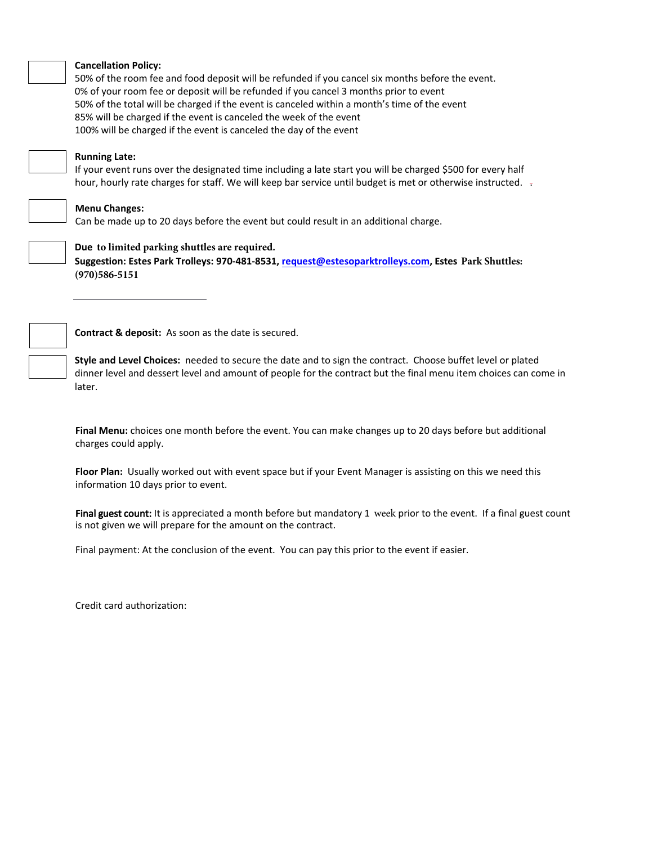

#### **Cancellation Policy:**

50% of the room fee and food deposit will be refunded if you cancel six months before the event. 0% of your room fee or deposit will be refunded if you cancel 3 months prior to event 50% of the total will be charged if the event is canceled within a month's time of the event 85% will be charged if the event is canceled the week of the event 100% will be charged if the event is canceled the day of the event

#### **Running Late:**

If your event runs over the designated time including a late start you will be charged \$500 for every half hour, hourly rate charges for staff. We will keep bar service until budget is met or otherwise instructed.  $\pm$ 

# **Menu Changes:**

Can be made up to 20 days before the event but could result in an additional charge.



# **Due to limited parking shuttles are required.**

**Suggestion: Estes Park Trolleys: 970-481-8531, [request@estesoparktrolleys.com,](mailto:request@estesoparktrolleys.com) Estes Park Shuttles: (970)586-5151**

**Contract & deposit:** As soon as the date is secured.

**Style and Level Choices:** needed to secure the date and to sign the contract. Choose buffet level or plated dinner level and dessert level and amount of people for the contract but the final menu item choices can come in later.

**Final Menu:** choices one month before the event. You can make changes up to 20 days before but additional charges could apply.

**Floor Plan:** Usually worked out with event space but if your Event Manager is assisting on this we need this information 10 days prior to event.

Final guest count: It is appreciated a month before but mandatory 1 week prior to the event. If a final guest count is not given we will prepare for the amount on the contract.

Final payment: At the conclusion of the event. You can pay this prior to the event if easier.

Credit card authorization: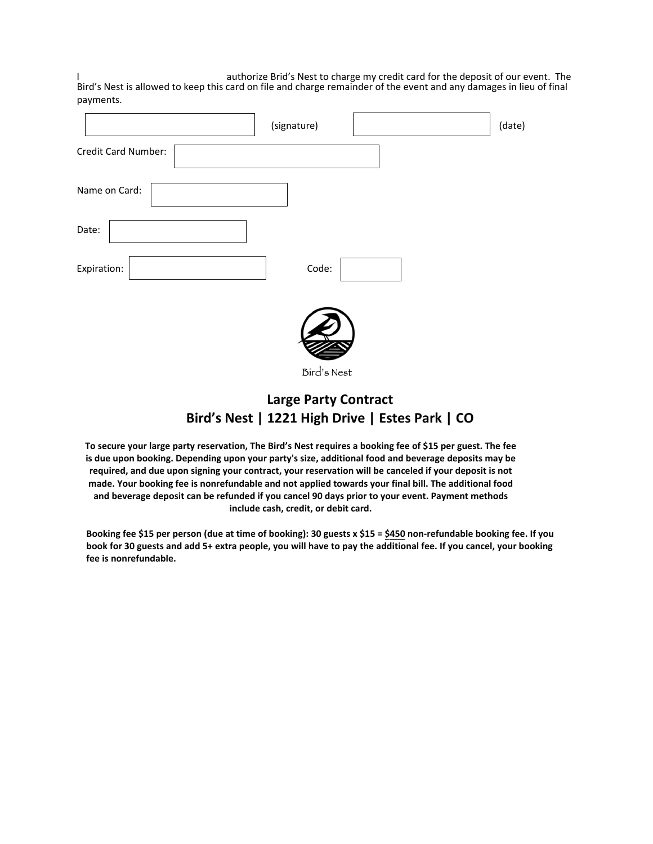I authorize Brid's Nest to charge my credit card for the deposit of our event. The Bird's Nest is allowed to keep this card on file and charge remainder of the event and any damages in lieu of final payments.

|                     | (signature) | (date) |
|---------------------|-------------|--------|
| Credit Card Number: |             |        |
| Name on Card:       |             |        |
| Date:               |             |        |
| Expiration:         | Code:       |        |
|                     |             |        |

Bird's Nest

# **Large Party Contract Bird's Nest | 1221 High Drive | Estes Park | CO**

**To secure your large party reservation, The Bird's Nest requires a booking fee of \$15 per guest. The fee is due upon booking. Depending upon your party's size, additional food and beverage deposits may be required, and due upon signing your contract, your reservation will be canceled if your deposit is not made. Your booking fee is nonrefundable and not applied towards your final bill. The additional food and beverage deposit can be refunded if you cancel 90 days prior to your event. Payment methods include cash, credit, or debit card.**

**Booking fee \$15 per person (due at time of booking): 30 guests x \$15 = \$450 non-refundable booking fee. If you book for 30 guests and add 5+ extra people, you will have to pay the additional fee. If you cancel, your booking fee is nonrefundable.**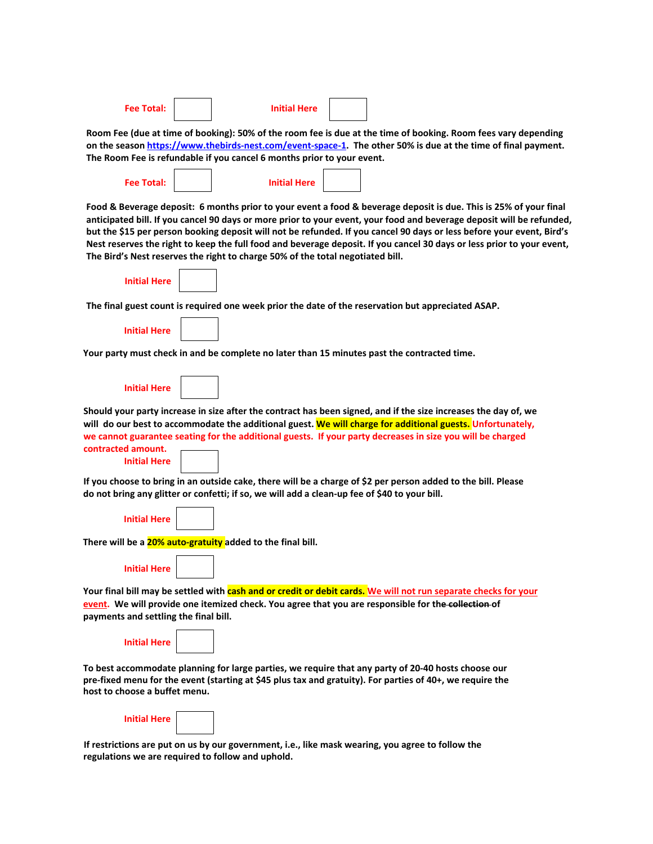| Fee Total: |  | <b>Initial Here</b> |  |
|------------|--|---------------------|--|
|------------|--|---------------------|--|

**Room Fee (due at time of booking): 50% of the room fee is due at the time of booking. Room fees vary depending on the season [https://www.thebirds-nest.com/event-space-1.](https://www.thebirds-nest.com/event-space-1) The other 50% is due at the time of final payment. The Room Fee is refundable if you cancel 6 months prior to your event.** 

| Fee Total: | <b>Initial Here</b> |  |
|------------|---------------------|--|
|            |                     |  |

**Food & Beverage deposit: 6 months prior to your event a food & beverage deposit is due. This is 25% of your final anticipated bill. If you cancel 90 days or more prior to your event, your food and beverage deposit will be refunded, but the \$15 per person booking deposit will not be refunded. If you cancel 90 days or less before your event, Bird's Nest reserves the right to keep the full food and beverage deposit. If you cancel 30 days or less prior to your event, The Bird's Nest reserves the right to charge 50% of the total negotiated bill.** 

| <b>Initial Here</b> |  |
|---------------------|--|
|                     |  |

г

**The final guest count is required one week prior the date of the reservation but appreciated ASAP.** 

| <b>Initial Here</b> |  |  |
|---------------------|--|--|

**Your party must check in and be complete no later than 15 minutes past the contracted time.** 

**Should your party increase in size after the contract has been signed, and if the size increases the day of, we will do our best to accommodate the additional guest. We will charge for additional guests. Unfortunately, we cannot guarantee seating for the additional guests. If your party decreases in size you will be charged contracted amount.**

|  | -------------       |  |
|--|---------------------|--|
|  | <b>Initial Here</b> |  |
|  |                     |  |

**If you choose to bring in an outside cake, there will be a charge of \$2 per person added to the bill. Please do not bring any glitter or confetti; if so, we will add a clean-up fee of \$40 to your bill.** 

**Initial Here** 

**There will be a 20% auto-gratuity added to the final bill.** 

**Initial Here** 

**Your final bill may be settled with cash and or credit or debit cards. We will not run separate checks for your event. We will provide one itemized check. You agree that you are responsible for the collection of payments and settling the final bill.**

| <b>Initial Here</b> |  |
|---------------------|--|
|                     |  |

**To best accommodate planning for large parties, we require that any party of 20-40 hosts choose our pre-fixed menu for the event (starting at \$45 plus tax and gratuity). For parties of 40+, we require the host to choose a buffet menu.** 

| <b>Initial Here</b> |  |  |
|---------------------|--|--|
|---------------------|--|--|

**If restrictions are put on us by our government, i.e., like mask wearing, you agree to follow the regulations we are required to follow and uphold.**